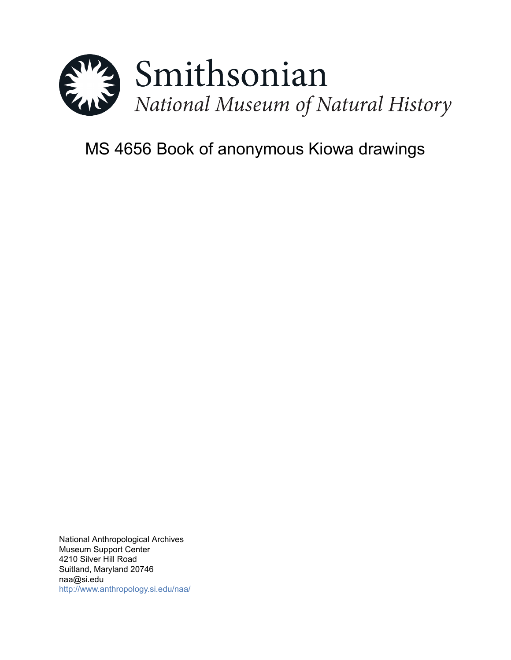

# MS 4656 Book of anonymous Kiowa drawings

National Anthropological Archives Museum Support Center 4210 Silver Hill Road Suitland, Maryland 20746 naa@si.edu <http://www.anthropology.si.edu/naa/>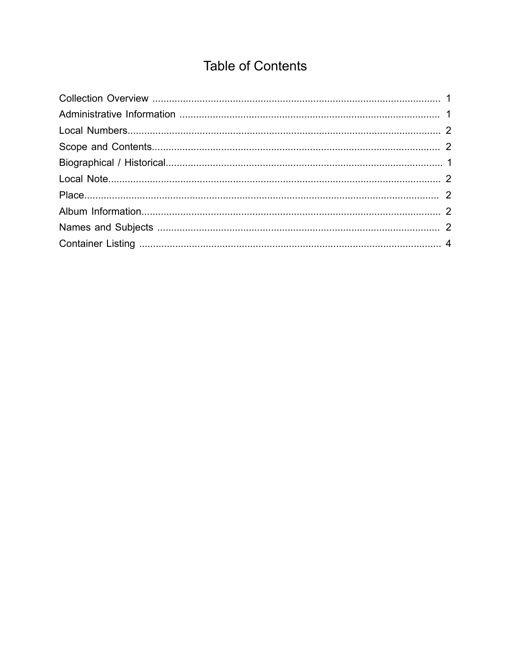## **Table of Contents**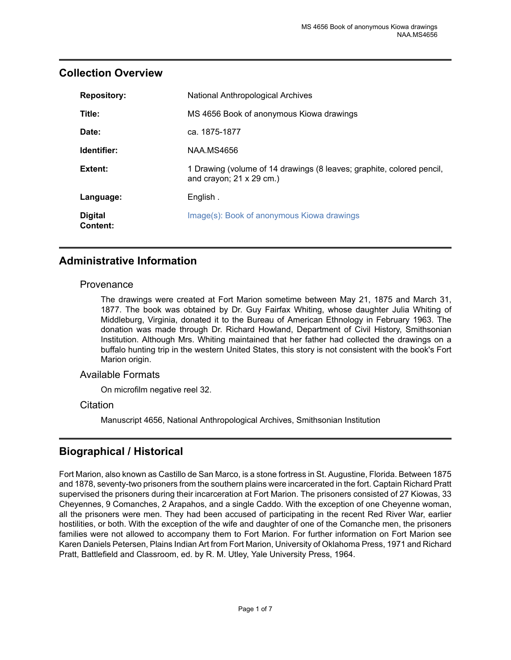| <b>Repository:</b>         | <b>National Anthropological Archives</b>                                                                 |
|----------------------------|----------------------------------------------------------------------------------------------------------|
| Title:                     | MS 4656 Book of anonymous Kiowa drawings                                                                 |
| Date:                      | ca. 1875-1877                                                                                            |
| Identifier:                | NAA MS4656                                                                                               |
| Extent:                    | 1 Drawing (volume of 14 drawings (8 leaves; graphite, colored pencil,<br>and crayon; $21 \times 29$ cm.) |
| Language:                  | English.                                                                                                 |
| <b>Digital</b><br>Content: | Image(s): Book of anonymous Kiowa drawings                                                               |

## <span id="page-2-0"></span>**Collection Overview**

## <span id="page-2-1"></span>**Administrative Information**

#### **Provenance**

The drawings were created at Fort Marion sometime between May 21, 1875 and March 31, 1877. The book was obtained by Dr. Guy Fairfax Whiting, whose daughter Julia Whiting of Middleburg, Virginia, donated it to the Bureau of American Ethnology in February 1963. The donation was made through Dr. Richard Howland, Department of Civil History, Smithsonian Institution. Although Mrs. Whiting maintained that her father had collected the drawings on a buffalo hunting trip in the western United States, this story is not consistent with the book's Fort Marion origin.

#### Available Formats

On microfilm negative reel 32.

#### **Citation**

Manuscript 4656, National Anthropological Archives, Smithsonian Institution

## <span id="page-2-2"></span>**Biographical / Historical**

Fort Marion, also known as Castillo de San Marco, is a stone fortress in St. Augustine, Florida. Between 1875 and 1878, seventy-two prisoners from the southern plains were incarcerated in the fort. Captain Richard Pratt supervised the prisoners during their incarceration at Fort Marion. The prisoners consisted of 27 Kiowas, 33 Cheyennes, 9 Comanches, 2 Arapahos, and a single Caddo. With the exception of one Cheyenne woman, all the prisoners were men. They had been accused of participating in the recent Red River War, earlier hostilities, or both. With the exception of the wife and daughter of one of the Comanche men, the prisoners families were not allowed to accompany them to Fort Marion. For further information on Fort Marion see Karen Daniels Petersen, Plains Indian Art from Fort Marion, University of Oklahoma Press, 1971 and Richard Pratt, Battlefield and Classroom, ed. by R. M. Utley, Yale University Press, 1964.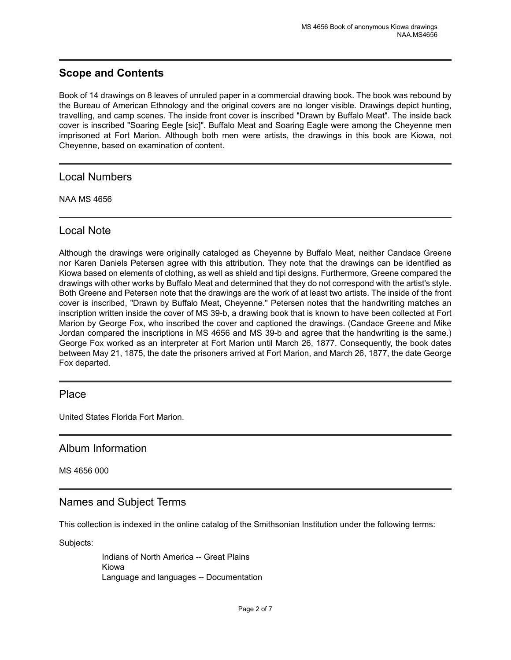## <span id="page-3-1"></span>**Scope and Contents**

Book of 14 drawings on 8 leaves of unruled paper in a commercial drawing book. The book was rebound by the Bureau of American Ethnology and the original covers are no longer visible. Drawings depict hunting, travelling, and camp scenes. The inside front cover is inscribed "Drawn by Buffalo Meat". The inside back cover is inscribed "Soaring Eegle [sic]". Buffalo Meat and Soaring Eagle were among the Cheyenne men imprisoned at Fort Marion. Although both men were artists, the drawings in this book are Kiowa, not Cheyenne, based on examination of content.

<span id="page-3-0"></span>Local Numbers

NAA MS 4656

## <span id="page-3-2"></span>Local Note

Although the drawings were originally cataloged as Cheyenne by Buffalo Meat, neither Candace Greene nor Karen Daniels Petersen agree with this attribution. They note that the drawings can be identified as Kiowa based on elements of clothing, as well as shield and tipi designs. Furthermore, Greene compared the drawings with other works by Buffalo Meat and determined that they do not correspond with the artist's style. Both Greene and Petersen note that the drawings are the work of at least two artists. The inside of the front cover is inscribed, "Drawn by Buffalo Meat, Cheyenne." Petersen notes that the handwriting matches an inscription written inside the cover of MS 39-b, a drawing book that is known to have been collected at Fort Marion by George Fox, who inscribed the cover and captioned the drawings. (Candace Greene and Mike Jordan compared the inscriptions in MS 4656 and MS 39-b and agree that the handwriting is the same.) George Fox worked as an interpreter at Fort Marion until March 26, 1877. Consequently, the book dates between May 21, 1875, the date the prisoners arrived at Fort Marion, and March 26, 1877, the date George Fox departed.

## <span id="page-3-3"></span>**Place**

United States Florida Fort Marion.

## <span id="page-3-4"></span>Album Information

MS 4656 000

## <span id="page-3-5"></span>Names and Subject Terms

This collection is indexed in the online catalog of the Smithsonian Institution under the following terms:

Subjects:

Indians of North America -- Great Plains Kiowa Language and languages -- Documentation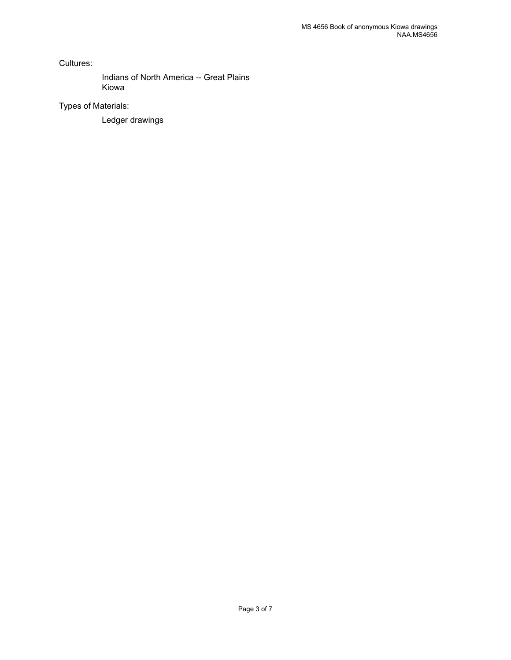Cultures:

Indians of North America -- Great Plains Kiowa

Types of Materials:

Ledger drawings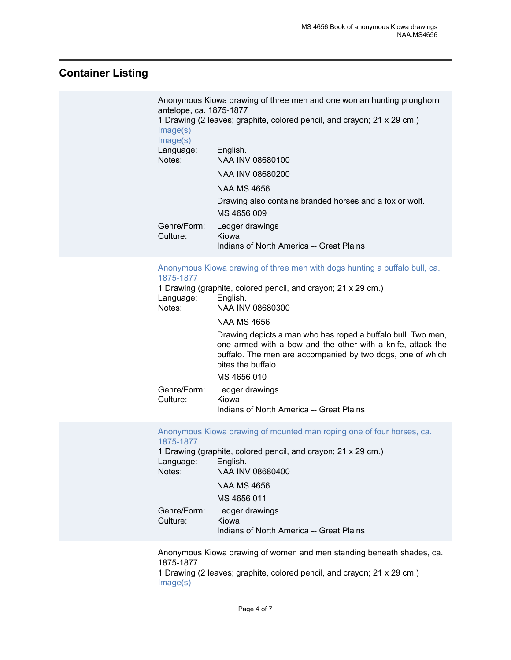## <span id="page-5-0"></span>**Container Listing**

| antelope, ca. 1875-1877<br>Image(s)<br>Image(s) | Anonymous Kiowa drawing of three men and one woman hunting pronghorn<br>1 Drawing (2 leaves; graphite, colored pencil, and crayon; 21 x 29 cm.) |
|-------------------------------------------------|-------------------------------------------------------------------------------------------------------------------------------------------------|
| Language:                                       | English.                                                                                                                                        |
| Notes:                                          | NAA INV 08680100                                                                                                                                |
|                                                 | NAA INV 08680200                                                                                                                                |
|                                                 | NAA MS 4656                                                                                                                                     |
|                                                 | Drawing also contains branded horses and a fox or wolf.                                                                                         |
|                                                 | MS 4656 009                                                                                                                                     |
| Genre/Form:<br>Culture:                         | Ledger drawings<br>Kiowa<br>Indians of North America -- Great Plains                                                                            |

#### [Anonymous](https://ids.si.edu/ids/deliveryService?id=NMNH-08680300) Kiowa drawing of three men with dogs hunting a buffalo bull, ca. [1875-1877](https://ids.si.edu/ids/deliveryService?id=NMNH-08680300)

| Language:               | 1 Drawing (graphite, colored pencil, and crayon; 21 x 29 cm.)<br>English.                                                                                                                                       |
|-------------------------|-----------------------------------------------------------------------------------------------------------------------------------------------------------------------------------------------------------------|
| Notes:                  | NAA INV 08680300                                                                                                                                                                                                |
|                         | NAA MS 4656                                                                                                                                                                                                     |
|                         | Drawing depicts a man who has roped a buffalo bull. Two men,<br>one armed with a bow and the other with a knife, attack the<br>buffalo. The men are accompanied by two dogs, one of which<br>bites the buffalo. |
|                         | MS 4656 010                                                                                                                                                                                                     |
| Genre/Form:<br>Culture: | Ledger drawings<br>Kiowa<br>Indians of North America -- Great Plains                                                                                                                                            |

[Anonymous Kiowa drawing of mounted man roping one of four horses, ca.](https://ids.si.edu/ids/deliveryService?id=NMNH-08680400) [1875-1877](https://ids.si.edu/ids/deliveryService?id=NMNH-08680400)

1 Drawing (graphite, colored pencil, and crayon; 21 x 29 cm.) Language: English. Notes: NAA INV 08680400 NAA MS 4656 MS 4656 011 Genre/Form: Ledger drawings Culture: Kiowa Indians of North America -- Great Plains

Anonymous Kiowa drawing of women and men standing beneath shades, ca. 1875-1877

1 Drawing (2 leaves; graphite, colored pencil, and crayon; 21 x 29 cm.) [Image\(s\)](https://ids.si.edu/ids/deliveryService?id=NMNH-08680500)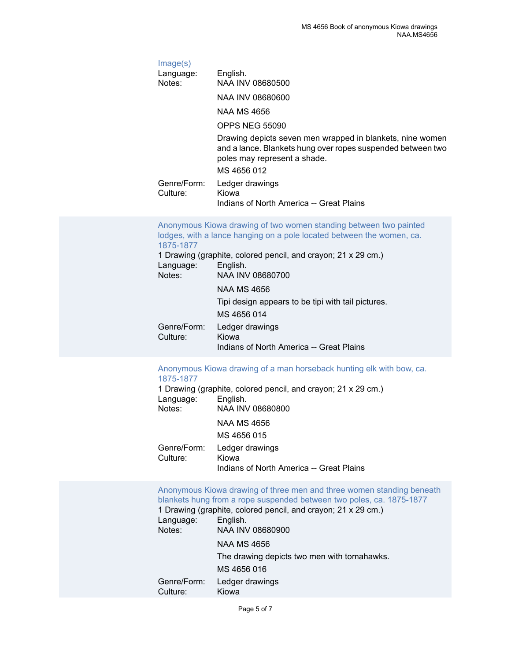[Image\(s\)](https://ids.si.edu/ids/deliveryService?id=NMNH-08680600) Language: English. Notes: NAA INV 08680500 NAA INV 08680600 NAA MS 4656 OPPS NEG 55090 Drawing depicts seven men wrapped in blankets, nine women and a lance. Blankets hung over ropes suspended between two poles may represent a shade. MS 4656 012 Genre/Form: Ledger drawings Culture: Kiowa Indians of North America -- Great Plains

|                         | Anonymous Kiowa drawing of two women standing between two painted     |
|-------------------------|-----------------------------------------------------------------------|
|                         | lodges, with a lance hanging on a pole located between the women, ca. |
| 1875-1877               |                                                                       |
|                         | 1 Drawing (graphite, colored pencil, and crayon; 21 x 29 cm.)         |
| Language:               | English.                                                              |
| Notes:                  | NAA INV 08680700                                                      |
|                         | <b>NAA MS 4656</b>                                                    |
|                         | Tipi design appears to be tipi with tail pictures.                    |
|                         | MS 4656 014                                                           |
| Genre/Form:<br>Culture: | Ledger drawings<br>Kiowa                                              |
|                         | Indians of North America -- Great Plains                              |

#### [Anonymous](https://ids.si.edu/ids/deliveryService?id=NMNH-08680800) Kiowa drawing of a man horseback hunting elk with bow, ca. [1875-1877](https://ids.si.edu/ids/deliveryService?id=NMNH-08680800)

1 Drawing (graphite, colored pencil, and crayon; 21 x 29 cm.) Language:<br>Notes: NAA INV 08680800 NAA MS 4656 MS 4656 015 Genre/Form: Ledger drawings Culture: Kiowa Indians of North America -- Great Plains

[Anonymous Kiowa drawing of three men and three women standing beneath](https://ids.si.edu/ids/deliveryService?id=NMNH-08680900) [blankets hung from a rope suspended between two poles, ca. 1875-1877](https://ids.si.edu/ids/deliveryService?id=NMNH-08680900) 1 Drawing (graphite, colored pencil, and crayon; 21 x 29 cm.) Language: English. Notes: NAA INV 08680900 NAA MS 4656 The drawing depicts two men with tomahawks. MS 4656 016 Genre/Form: Ledger drawings Culture: Kiowa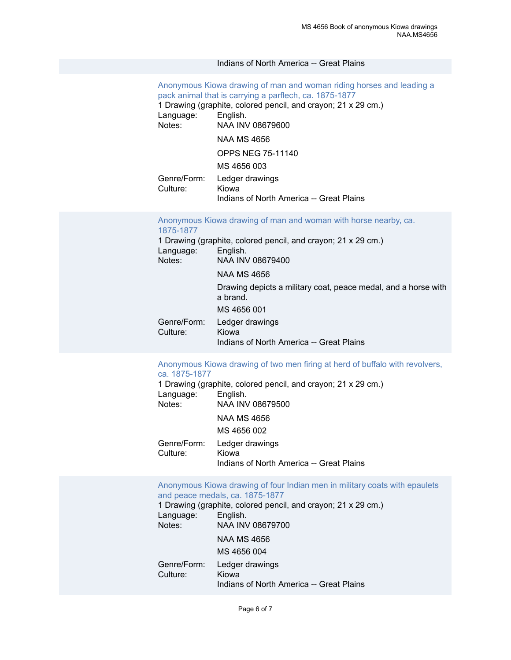#### Indians of North America -- Great Plains

## [Anonymous Kiowa drawing of man and woman riding horses and leading a](https://ids.si.edu/ids/deliveryService?id=NMNH-08679600) [pack animal that is carrying a parflech, ca. 1875-1877](https://ids.si.edu/ids/deliveryService?id=NMNH-08679600)

1 Drawing (graphite, colored pencil, and crayon; 21 x 29 cm.)<br>Language: English. Language: Notes: NAA INV 08679600 NAA MS 4656 OPPS NEG 75-11140 MS 4656 003 Genre/Form: Ledger drawings<br>Culture: Kiowa Culture: Indians of North America -- Great Plains

#### [Anonymous](https://ids.si.edu/ids/deliveryService?id=NMNH-08679400) Kiowa drawing of man and woman with horse nearby, ca. [1875-1877](https://ids.si.edu/ids/deliveryService?id=NMNH-08679400)

|             | 1 Drawing (graphite, colored pencil, and crayon; 21 x 29 cm.)              |
|-------------|----------------------------------------------------------------------------|
| Language:   | English.                                                                   |
| Notes:      | NAA INV 08679400                                                           |
|             | NAA MS 4656                                                                |
|             | Drawing depicts a military coat, peace medal, and a horse with<br>a brand. |
|             | MS 4656 001                                                                |
| Genre/Form: | Ledger drawings                                                            |
| Culture:    | Kiowa                                                                      |
|             | Indians of North America -- Great Plains                                   |

#### [Anonymous](https://ids.si.edu/ids/deliveryService?id=NMNH-08679500) Kiowa drawing of two men firing at herd of buffalo with revolvers, [ca. 1875-1877](https://ids.si.edu/ids/deliveryService?id=NMNH-08679500)

1 Drawing (graphite, colored pencil, and crayon; 21 x 29 cm.) Language: English.<br>Notes: NAA INV Notes: NAA INV 08679500 NAA MS 4656 MS 4656 002 Genre/Form: Ledger drawings Culture: Kiowa Indians of North America -- Great Plains

[Anonymous Kiowa drawing of four Indian men in military coats with epaulets](https://ids.si.edu/ids/deliveryService?id=NMNH-08679700) [and peace medals, ca. 1875-1877](https://ids.si.edu/ids/deliveryService?id=NMNH-08679700)

Indians of North America -- Great Plains

1 Drawing (graphite, colored pencil, and crayon; 21 x 29 cm.) Language: English.<br>Notes: NAA INV Notes: NAA INV 08679700 NAA MS 4656 MS 4656 004 Genre/Form: Ledger drawings Culture: Kiowa